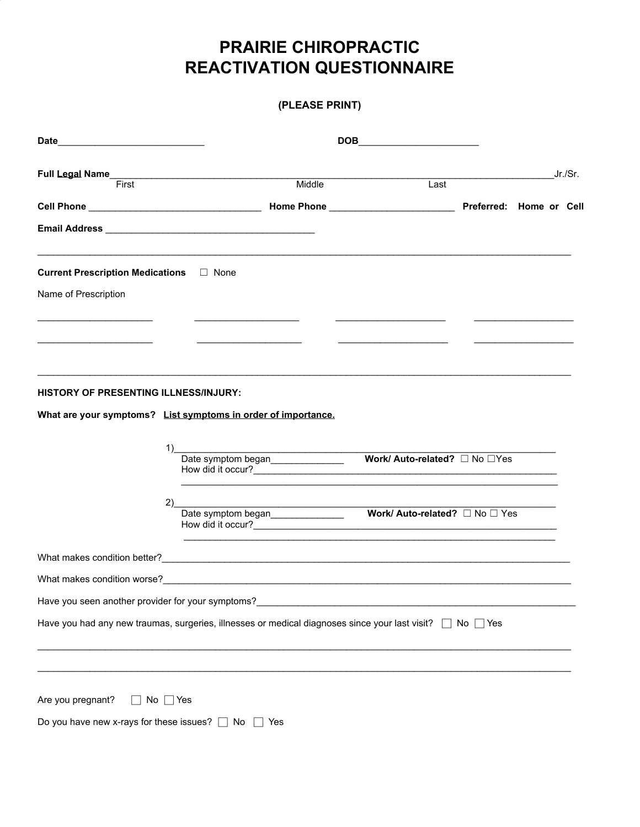# **PRAIRIE CHIROPRACTIC REACTIVATION QUESTIONNAIRE**

## (PLEASE PRINT)

|                                                   |                                                                                                                                           |      |                      | Jr./Sr. |
|---------------------------------------------------|-------------------------------------------------------------------------------------------------------------------------------------------|------|----------------------|---------|
| First                                             | Middle                                                                                                                                    | Last |                      |         |
|                                                   |                                                                                                                                           |      |                      |         |
|                                                   |                                                                                                                                           |      |                      |         |
| Current Prescription Medications □ None           |                                                                                                                                           |      |                      |         |
| Name of Prescription                              |                                                                                                                                           |      |                      |         |
|                                                   |                                                                                                                                           |      |                      |         |
|                                                   |                                                                                                                                           |      |                      |         |
|                                                   |                                                                                                                                           |      |                      |         |
| HISTORY OF PRESENTING ILLNESS/INJURY:             |                                                                                                                                           |      |                      |         |
|                                                   | What are your symptoms? List symptoms in order of importance.                                                                             |      |                      |         |
| 1)                                                | <u> 1989 - Jan Samuel Barbara, politik eta politik eta politik eta politik eta politik eta politik eta politik e</u>                      |      |                      |         |
|                                                   | Date symptom began <b>Work/Auto-related?</b> □ No □Yes                                                                                    |      |                      |         |
| 2)                                                |                                                                                                                                           |      |                      |         |
|                                                   | Date symptom began______________________ <b>Work/ Auto-related?</b> □ No □ Yes<br>How did it occur?<br><u>Letters</u> <b>Example 2020</b> |      |                      |         |
|                                                   |                                                                                                                                           |      |                      |         |
|                                                   |                                                                                                                                           |      |                      |         |
| Have you seen another provider for your symptoms? |                                                                                                                                           |      |                      |         |
|                                                   | Have you had any new traumas, surgeries, illnesses or medical diagnoses since your last visit?                                            |      | $\Box$ No $\Box$ Yes |         |
|                                                   |                                                                                                                                           |      |                      |         |
|                                                   |                                                                                                                                           |      |                      |         |
| Are you pregnant?<br>$No \mid \text{Yes}$         |                                                                                                                                           |      |                      |         |
| Do you have new x-rays for these issues? [        | No<br>Yes                                                                                                                                 |      |                      |         |